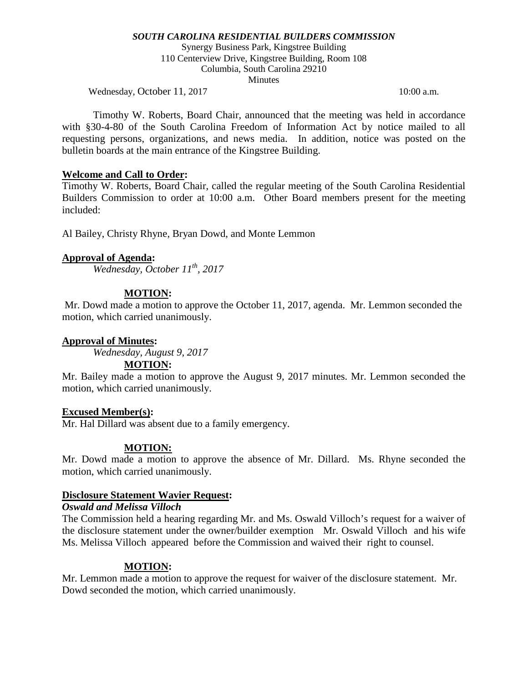Synergy Business Park, Kingstree Building 110 Centerview Drive, Kingstree Building, Room 108 Columbia, South Carolina 29210 **Minutes** 

Wednesday, October 11, 2017 10:00 a.m.

Timothy W. Roberts, Board Chair, announced that the meeting was held in accordance with §30-4-80 of the South Carolina Freedom of Information Act by notice mailed to all requesting persons, organizations, and news media. In addition, notice was posted on the bulletin boards at the main entrance of the Kingstree Building.

## **Welcome and Call to Order:**

Timothy W. Roberts, Board Chair, called the regular meeting of the South Carolina Residential Builders Commission to order at 10:00 a.m. Other Board members present for the meeting included:

Al Bailey, Christy Rhyne, Bryan Dowd, and Monte Lemmon

# **Approval of Agenda:**

*Wednesday, October 11th, 2017*

# **MOTION:**

Mr. Dowd made a motion to approve the October 11, 2017, agenda. Mr. Lemmon seconded the motion, which carried unanimously.

## **Approval of Minutes:**

*Wednesday, August 9, 2017*

# **MOTION:**

Mr. Bailey made a motion to approve the August 9, 2017 minutes. Mr. Lemmon seconded the motion, which carried unanimously.

## **Excused Member(s):**

Mr. Hal Dillard was absent due to a family emergency.

# **MOTION:**

Mr. Dowd made a motion to approve the absence of Mr. Dillard. Ms. Rhyne seconded the motion, which carried unanimously.

## **Disclosure Statement Wavier Request:**

*Oswald and Melissa Villoch*

The Commission held a hearing regarding Mr. and Ms. Oswald Villoch's request for a waiver of the disclosure statement under the owner/builder exemption Mr. Oswald Villoch and his wife Ms. Melissa Villoch appeared before the Commission and waived their right to counsel.

## **MOTION:**

Mr. Lemmon made a motion to approve the request for waiver of the disclosure statement. Mr. Dowd seconded the motion, which carried unanimously.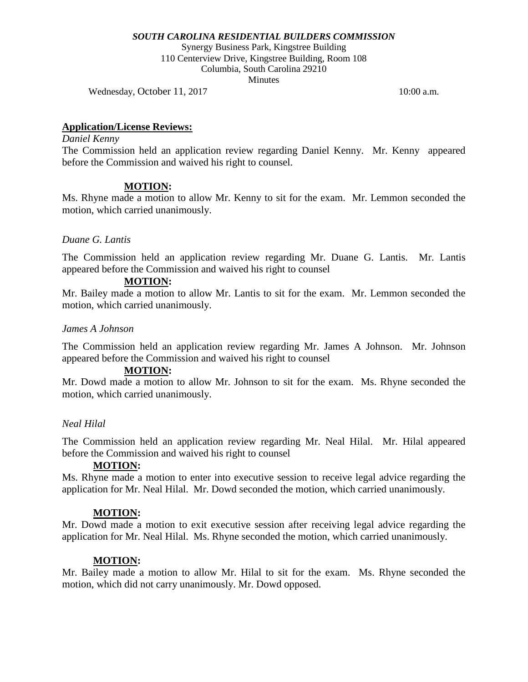Synergy Business Park, Kingstree Building 110 Centerview Drive, Kingstree Building, Room 108 Columbia, South Carolina 29210 **Minutes** 

Wednesday, October 11, 2017 10:00 a.m.

#### **Application/License Reviews:**

#### *Daniel Kenny*

The Commission held an application review regarding Daniel Kenny. Mr. Kenny appeared before the Commission and waived his right to counsel.

#### **MOTION:**

Ms. Rhyne made a motion to allow Mr. Kenny to sit for the exam. Mr. Lemmon seconded the motion, which carried unanimously.

#### *Duane G. Lantis*

The Commission held an application review regarding Mr. Duane G. Lantis. Mr. Lantis appeared before the Commission and waived his right to counsel

# **MOTION:**

Mr. Bailey made a motion to allow Mr. Lantis to sit for the exam. Mr. Lemmon seconded the motion, which carried unanimously.

#### *James A Johnson*

The Commission held an application review regarding Mr. James A Johnson. Mr. Johnson appeared before the Commission and waived his right to counsel

## **MOTION:**

Mr. Dowd made a motion to allow Mr. Johnson to sit for the exam. Ms. Rhyne seconded the motion, which carried unanimously.

#### *Neal Hilal*

The Commission held an application review regarding Mr. Neal Hilal. Mr. Hilal appeared before the Commission and waived his right to counsel

#### **MOTION:**

Ms. Rhyne made a motion to enter into executive session to receive legal advice regarding the application for Mr. Neal Hilal. Mr. Dowd seconded the motion, which carried unanimously.

#### **MOTION:**

Mr. Dowd made a motion to exit executive session after receiving legal advice regarding the application for Mr. Neal Hilal. Ms. Rhyne seconded the motion, which carried unanimously.

#### **MOTION:**

Mr. Bailey made a motion to allow Mr. Hilal to sit for the exam. Ms. Rhyne seconded the motion, which did not carry unanimously. Mr. Dowd opposed.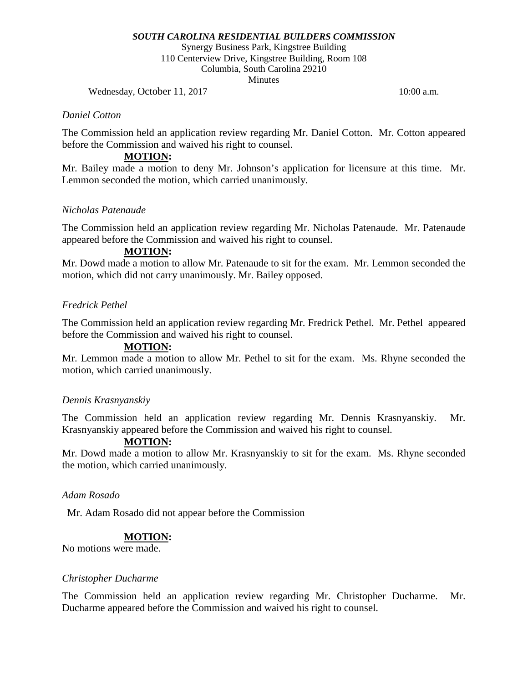Synergy Business Park, Kingstree Building 110 Centerview Drive, Kingstree Building, Room 108 Columbia, South Carolina 29210 **Minutes** 

Wednesday, October 11, 2017 10:00 a.m.

#### *Daniel Cotton*

The Commission held an application review regarding Mr. Daniel Cotton. Mr. Cotton appeared before the Commission and waived his right to counsel.

## **MOTION:**

Mr. Bailey made a motion to deny Mr. Johnson's application for licensure at this time. Mr. Lemmon seconded the motion, which carried unanimously.

#### *Nicholas Patenaude*

The Commission held an application review regarding Mr. Nicholas Patenaude. Mr. Patenaude appeared before the Commission and waived his right to counsel.

#### **MOTION:**

Mr. Dowd made a motion to allow Mr. Patenaude to sit for the exam. Mr. Lemmon seconded the motion, which did not carry unanimously. Mr. Bailey opposed.

## *Fredrick Pethel*

The Commission held an application review regarding Mr. Fredrick Pethel. Mr. Pethel appeared before the Commission and waived his right to counsel.

## **MOTION:**

Mr. Lemmon made a motion to allow Mr. Pethel to sit for the exam. Ms. Rhyne seconded the motion, which carried unanimously.

#### *Dennis Krasnyanskiy*

The Commission held an application review regarding Mr. Dennis Krasnyanskiy. Mr. Krasnyanskiy appeared before the Commission and waived his right to counsel.

## **MOTION:**

Mr. Dowd made a motion to allow Mr. Krasnyanskiy to sit for the exam. Ms. Rhyne seconded the motion, which carried unanimously.

## *Adam Rosado*

Mr. Adam Rosado did not appear before the Commission

## **MOTION:**

No motions were made.

#### *Christopher Ducharme*

The Commission held an application review regarding Mr. Christopher Ducharme. Mr. Ducharme appeared before the Commission and waived his right to counsel.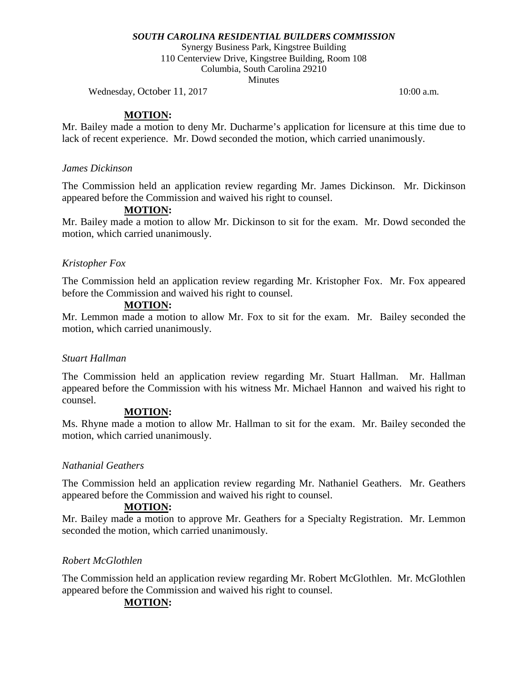Synergy Business Park, Kingstree Building 110 Centerview Drive, Kingstree Building, Room 108 Columbia, South Carolina 29210 **Minutes** 

Wednesday, October 11, 2017 10:00 a.m.

# **MOTION:**

Mr. Bailey made a motion to deny Mr. Ducharme's application for licensure at this time due to lack of recent experience. Mr. Dowd seconded the motion, which carried unanimously.

## *James Dickinson*

The Commission held an application review regarding Mr. James Dickinson. Mr. Dickinson appeared before the Commission and waived his right to counsel.

# **MOTION:**

Mr. Bailey made a motion to allow Mr. Dickinson to sit for the exam. Mr. Dowd seconded the motion, which carried unanimously.

## *Kristopher Fox*

The Commission held an application review regarding Mr. Kristopher Fox. Mr. Fox appeared before the Commission and waived his right to counsel.

#### **MOTION:**

Mr. Lemmon made a motion to allow Mr. Fox to sit for the exam. Mr. Bailey seconded the motion, which carried unanimously.

#### *Stuart Hallman*

The Commission held an application review regarding Mr. Stuart Hallman. Mr. Hallman appeared before the Commission with his witness Mr. Michael Hannon and waived his right to counsel.

## **MOTION:**

Ms. Rhyne made a motion to allow Mr. Hallman to sit for the exam. Mr. Bailey seconded the motion, which carried unanimously.

## *Nathanial Geathers*

The Commission held an application review regarding Mr. Nathaniel Geathers. Mr. Geathers appeared before the Commission and waived his right to counsel.

## **MOTION:**

Mr. Bailey made a motion to approve Mr. Geathers for a Specialty Registration. Mr. Lemmon seconded the motion, which carried unanimously.

## *Robert McGlothlen*

The Commission held an application review regarding Mr. Robert McGlothlen. Mr. McGlothlen appeared before the Commission and waived his right to counsel.

## **MOTION:**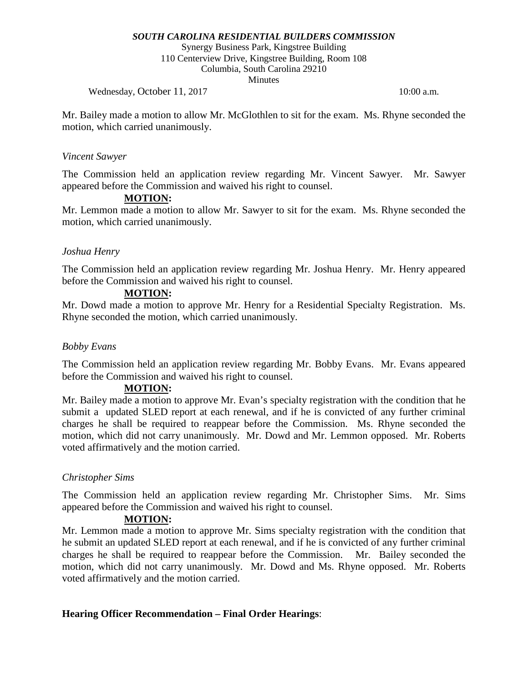Synergy Business Park, Kingstree Building 110 Centerview Drive, Kingstree Building, Room 108 Columbia, South Carolina 29210 **Minutes** 

Wednesday, October 11, 2017 10:00 a.m.

Mr. Bailey made a motion to allow Mr. McGlothlen to sit for the exam. Ms. Rhyne seconded the motion, which carried unanimously.

#### *Vincent Sawyer*

The Commission held an application review regarding Mr. Vincent Sawyer. Mr. Sawyer appeared before the Commission and waived his right to counsel.

# **MOTION:**

Mr. Lemmon made a motion to allow Mr. Sawyer to sit for the exam. Ms. Rhyne seconded the motion, which carried unanimously.

## *Joshua Henry*

The Commission held an application review regarding Mr. Joshua Henry. Mr. Henry appeared before the Commission and waived his right to counsel.

## **MOTION:**

Mr. Dowd made a motion to approve Mr. Henry for a Residential Specialty Registration. Ms. Rhyne seconded the motion, which carried unanimously.

#### *Bobby Evans*

The Commission held an application review regarding Mr. Bobby Evans. Mr. Evans appeared before the Commission and waived his right to counsel.

## **MOTION:**

Mr. Bailey made a motion to approve Mr. Evan's specialty registration with the condition that he submit a updated SLED report at each renewal, and if he is convicted of any further criminal charges he shall be required to reappear before the Commission. Ms. Rhyne seconded the motion, which did not carry unanimously. Mr. Dowd and Mr. Lemmon opposed. Mr. Roberts voted affirmatively and the motion carried.

## *Christopher Sims*

The Commission held an application review regarding Mr. Christopher Sims. Mr. Sims appeared before the Commission and waived his right to counsel.

## **MOTION:**

Mr. Lemmon made a motion to approve Mr. Sims specialty registration with the condition that he submit an updated SLED report at each renewal, and if he is convicted of any further criminal charges he shall be required to reappear before the Commission. Mr. Bailey seconded the motion, which did not carry unanimously. Mr. Dowd and Ms. Rhyne opposed. Mr. Roberts voted affirmatively and the motion carried.

## **Hearing Officer Recommendation – Final Order Hearings**: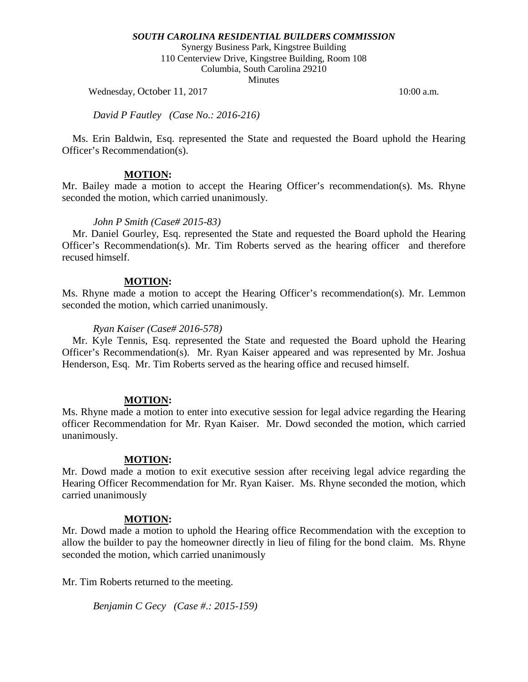Synergy Business Park, Kingstree Building 110 Centerview Drive, Kingstree Building, Room 108 Columbia, South Carolina 29210 Minutes

Wednesday, October 11, 2017 10:00 a.m.

*David P Fautley (Case No.: 2016-216)*

 Ms. Erin Baldwin, Esq. represented the State and requested the Board uphold the Hearing Officer's Recommendation(s).

## **MOTION:**

Mr. Bailey made a motion to accept the Hearing Officer's recommendation(s). Ms. Rhyne seconded the motion, which carried unanimously.

#### *John P Smith (Case# 2015-83)*

 Mr. Daniel Gourley, Esq. represented the State and requested the Board uphold the Hearing Officer's Recommendation(s). Mr. Tim Roberts served as the hearing officer and therefore recused himself.

#### **MOTION:**

Ms. Rhyne made a motion to accept the Hearing Officer's recommendation(s). Mr. Lemmon seconded the motion, which carried unanimously.

#### *Ryan Kaiser (Case# 2016-578)*

 Mr. Kyle Tennis, Esq. represented the State and requested the Board uphold the Hearing Officer's Recommendation(s). Mr. Ryan Kaiser appeared and was represented by Mr. Joshua Henderson, Esq. Mr. Tim Roberts served as the hearing office and recused himself.

## **MOTION:**

Ms. Rhyne made a motion to enter into executive session for legal advice regarding the Hearing officer Recommendation for Mr. Ryan Kaiser. Mr. Dowd seconded the motion, which carried unanimously.

## **MOTION:**

Mr. Dowd made a motion to exit executive session after receiving legal advice regarding the Hearing Officer Recommendation for Mr. Ryan Kaiser. Ms. Rhyne seconded the motion, which carried unanimously

## **MOTION:**

Mr. Dowd made a motion to uphold the Hearing office Recommendation with the exception to allow the builder to pay the homeowner directly in lieu of filing for the bond claim. Ms. Rhyne seconded the motion, which carried unanimously

Mr. Tim Roberts returned to the meeting.

*Benjamin C Gecy (Case #.: 2015-159)*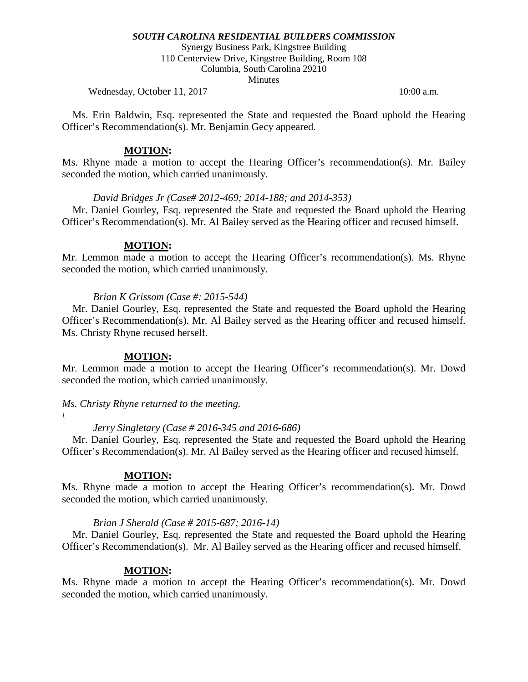Synergy Business Park, Kingstree Building 110 Centerview Drive, Kingstree Building, Room 108 Columbia, South Carolina 29210 **Minutes** 

Wednesday, October 11, 2017 10:00 a.m.

 Ms. Erin Baldwin, Esq. represented the State and requested the Board uphold the Hearing Officer's Recommendation(s). Mr. Benjamin Gecy appeared.

#### **MOTION:**

Ms. Rhyne made a motion to accept the Hearing Officer's recommendation(s). Mr. Bailey seconded the motion, which carried unanimously.

#### *David Bridges Jr (Case# 2012-469; 2014-188; and 2014-353)*

 Mr. Daniel Gourley, Esq. represented the State and requested the Board uphold the Hearing Officer's Recommendation(s). Mr. Al Bailey served as the Hearing officer and recused himself.

## **MOTION:**

Mr. Lemmon made a motion to accept the Hearing Officer's recommendation(s). Ms. Rhyne seconded the motion, which carried unanimously.

## *Brian K Grissom (Case #: 2015-544)*

 Mr. Daniel Gourley, Esq. represented the State and requested the Board uphold the Hearing Officer's Recommendation(s). Mr. Al Bailey served as the Hearing officer and recused himself. Ms. Christy Rhyne recused herself.

## **MOTION:**

Mr. Lemmon made a motion to accept the Hearing Officer's recommendation(s). Mr. Dowd seconded the motion, which carried unanimously.

*Ms. Christy Rhyne returned to the meeting.*

*\*

## *Jerry Singletary (Case # 2016-345 and 2016-686)*

 Mr. Daniel Gourley, Esq. represented the State and requested the Board uphold the Hearing Officer's Recommendation(s). Mr. Al Bailey served as the Hearing officer and recused himself.

## **MOTION:**

Ms. Rhyne made a motion to accept the Hearing Officer's recommendation(s). Mr. Dowd seconded the motion, which carried unanimously.

#### *Brian J Sherald (Case # 2015-687; 2016-14)*

 Mr. Daniel Gourley, Esq. represented the State and requested the Board uphold the Hearing Officer's Recommendation(s). Mr. Al Bailey served as the Hearing officer and recused himself.

#### **MOTION:**

Ms. Rhyne made a motion to accept the Hearing Officer's recommendation(s). Mr. Dowd seconded the motion, which carried unanimously.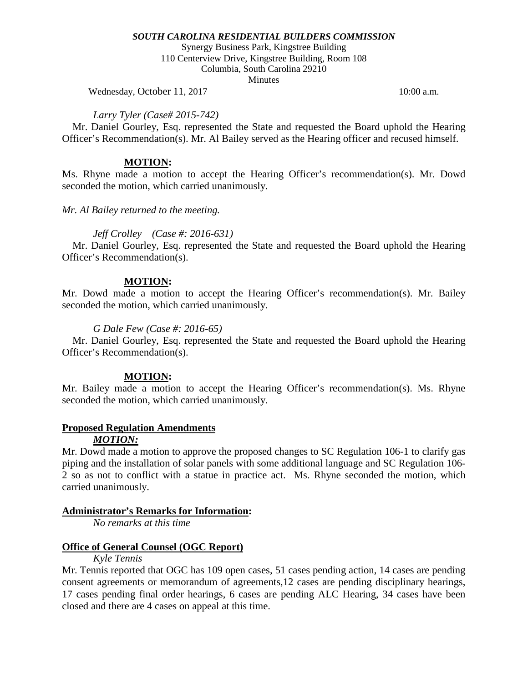Synergy Business Park, Kingstree Building 110 Centerview Drive, Kingstree Building, Room 108 Columbia, South Carolina 29210 **Minutes** 

Wednesday, October 11, 2017 10:00 a.m.

#### *Larry Tyler (Case# 2015-742)*

 Mr. Daniel Gourley, Esq. represented the State and requested the Board uphold the Hearing Officer's Recommendation(s). Mr. Al Bailey served as the Hearing officer and recused himself.

#### **MOTION:**

Ms. Rhyne made a motion to accept the Hearing Officer's recommendation(s). Mr. Dowd seconded the motion, which carried unanimously.

*Mr. Al Bailey returned to the meeting.* 

## *Jeff Crolley (Case #: 2016-631)*

 Mr. Daniel Gourley, Esq. represented the State and requested the Board uphold the Hearing Officer's Recommendation(s).

#### **MOTION:**

Mr. Dowd made a motion to accept the Hearing Officer's recommendation(s). Mr. Bailey seconded the motion, which carried unanimously.

#### *G Dale Few (Case #: 2016-65)*

 Mr. Daniel Gourley, Esq. represented the State and requested the Board uphold the Hearing Officer's Recommendation(s).

## **MOTION:**

Mr. Bailey made a motion to accept the Hearing Officer's recommendation(s). Ms. Rhyne seconded the motion, which carried unanimously.

## **Proposed Regulation Amendments**

#### *MOTION:*

Mr. Dowd made a motion to approve the proposed changes to SC Regulation 106-1 to clarify gas piping and the installation of solar panels with some additional language and SC Regulation 106- 2 so as not to conflict with a statue in practice act. Ms. Rhyne seconded the motion, which carried unanimously.

#### **Administrator's Remarks for Information:**

*No remarks at this time*

## **Office of General Counsel (OGC Report)**

#### *Kyle Tennis*

Mr. Tennis reported that OGC has 109 open cases, 51 cases pending action, 14 cases are pending consent agreements or memorandum of agreements,12 cases are pending disciplinary hearings, 17 cases pending final order hearings, 6 cases are pending ALC Hearing, 34 cases have been closed and there are 4 cases on appeal at this time.